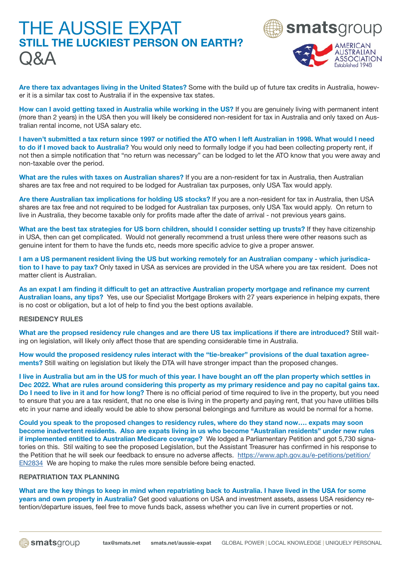# THE AUSSIE EXPAT STILL THE LUCKIEST PERSON ON EARTH? Q&A



Are there tax advantages living in the United States? Some with the build up of future tax credits in Australia, however it is a similar tax cost to Australia if in the expensive tax states.

How can I avoid getting taxed in Australia while working in the US? If you are genuinely living with permanent intent (more than 2 years) in the USA then you will likely be considered non-resident for tax in Australia and only taxed on Australian rental income, not USA salary etc.

I haven't submitted a tax return since 1997 or notified the ATO when I left Australian in 1998. What would I need to do if I moved back to Australia? You would only need to formally lodge if you had been collecting property rent, if not then a simple notification that "no return was necessary" can be lodged to let the ATO know that you were away and non-taxable over the period.

What are the rules with taxes on Australian shares? If you are a non-resident for tax in Australia, then Australian shares are tax free and not required to be lodged for Australian tax purposes, only USA Tax would apply.

Are there Australian tax implications for holding US stocks? If you are a non-resident for tax in Australia, then USA shares are tax free and not required to be lodged for Australian tax purposes, only USA Tax would apply. On return to live in Australia, they become taxable only for profits made after the date of arrival - not previous years gains.

What are the best tax strategies for US born children, should I consider setting up trusts? If they have citizenship in USA, then can get complicated. Would not generally recommend a trust unless there were other reasons such as genuine intent for them to have the funds etc, needs more specific advice to give a proper answer.

I am a US permanent resident living the US but working remotely for an Australian company - which jurisdication to I have to pay tax? Only taxed in USA as services are provided in the USA where you are tax resident. Does not matter client is Australian.

As an expat I am finding it difficult to get an attractive Australian property mortgage and refinance my current Australian loans, any tips? Yes, use our Specialist Mortgage Brokers with 27 years experience in helping expats, there is no cost or obligation, but a lot of help to find you the best options available.

#### RESIDENCY RULES

What are the propsed residency rule changes and are there US tax implications if there are introduced? Still waiting on legislation, will likely only affect those that are spending considerable time in Australia.

How would the proposed residency rules interact with the "tie-breaker" provisions of the dual taxation agreements? Still waiting on legislation but likely the DTA will have stronger impact than the proposed changes.

I live in Australia but am in the US for much of this year. I have bought an off the plan property which settles in Dec 2022. What are rules around considering this property as my primary residence and pay no capital gains tax. Do I need to live in it and for how long? There is no official period of time required to live in the property, but you need to ensure that you are a tax resident, that no one else is living in the property and paying rent, that you have utilities bills etc in your name and ideally would be able to show personal belongings and furniture as would be normal for a home.

Could you speak to the proposed changes to residency rules, where do they stand now…. expats may soon become inadvertent residents. Also are expats living in us who become "Australian residents" under new rules if implemented entitled to Australian Medicare coverage? We lodged a Parliamentary Petition and got 5,730 signatories on this. Stil waiting to see the proposed Legislation, but the Assistant Treasurer has confirmed in his response to the Petition that he will seek our feedback to ensure no adverse affects. [https://www.aph.gov.au/e-petitions/petition/](https://www.aph.gov.au/e-petitions/petition/EN2834) [EN2834](https://www.aph.gov.au/e-petitions/petition/EN2834) We are hoping to make the rules more sensible before being enacted.

### REPATRIATION TAX PLANNING

What are the key things to keep in mind when repatriating back to Australia. I have lived in the USA for some years and own property in Australia? Get good valuations on USA and investment assets, assess USA residency retention/departure issues, feel free to move funds back, assess whether you can live in current properties or not.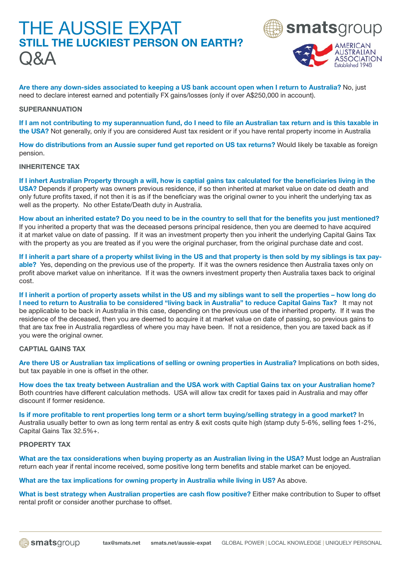### THE AUSSIE EXPAT STILL THE LUCKIEST PERSON ON EARTH? Q&A





Are there any down-sides associated to keeping a US bank account open when I return to Australia? No, just need to declare interest earned and potentially FX gains/losses (only if over A\$250,000 in account).

#### **SUPERANNUATION**

If I am not contributing to my superannuation fund, do I need to file an Australian tax return and is this taxable in the USA? Not generally, only if you are considered Aust tax resident or if you have rental property income in Australia

How do distributions from an Aussie super fund get reported on US tax returns? Would likely be taxable as foreign pension.

INHERITENCE TAX

If I inhert Australian Property through a will, how is captial gains tax calculated for the beneficiaries living in the USA? Depends if property was owners previous residence, if so then inherited at market value on date od death and only future profits taxed, if not then it is as if the beneficiary was the original owner to you inherit the underlying tax as well as the property. No other Estate/Death duty in Australia.

How about an inherited estate? Do you need to be in the country to sell that for the benefits you just mentioned? If you inherited a property that was the deceased persons principal residence, then you are deemed to have acquired it at market value on date of passing. If it was an investment property then you inherit the underlying Capital Gains Tax with the property as you are treated as if you were the original purchaser, from the original purchase date and cost.

If I inherit a part share of a property whilst living in the US and that property is then sold by my siblings is tax payable? Yes, depending on the previous use of the property. If it was the owners residence then Australia taxes only on profit above market value on inheritance. If it was the owners investment property then Australia taxes back to original cost.

If I inherit a portion of property assets whilst in the US and my siblings want to sell the properties – how long do I need to return to Australia to be considered "living back in Australia" to reduce Capital Gains Tax? It may not be applicable to be back in Australia in this case, depending on the previous use of the inherited property. If it was the residence of the deceased, then you are deemed to acquire it at market value on date of passing, so previous gains to that are tax free in Australia regardless of where you may have been. If not a residence, then you are taxed back as if you were the original owner.

#### CAPTIAL GAINS TAX

Are there US or Australian tax implications of selling or owning properties in Australia? Implications on both sides, but tax payable in one is offset in the other.

How does the tax treaty between Australian and the USA work with Captial Gains tax on your Australian home? Both countries have different calculation methods. USA will allow tax credit for taxes paid in Australia and may offer discount if former residence.

Is if more profitable to rent properties long term or a short term buying/selling strategy in a good market? In Australia usually better to own as long term rental as entry & exit costs quite high (stamp duty 5-6%, selling fees 1-2%, Capital Gains Tax 32.5%+.

#### PROPERTY TAX

What are the tax considerations when buying property as an Australian living in the USA? Must lodge an Australian return each year if rental income received, some positive long term benefits and stable market can be enjoyed.

What are the tax implications for owning property in Australia while living in US? As above.

What is best strategy when Australian properties are cash flow positive? Either make contribution to Super to offset rental profit or consider another purchase to offset.

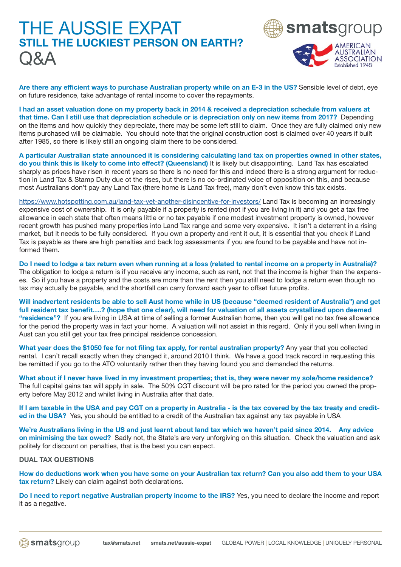## THE AUSSIE EXPAT STILL THE LUCKIEST PERSON ON EARTH?  $\bigcirc$   $\mathsf{A}\mathsf{A}$





Are there any efficient ways to purchase Australian property while on an E-3 in the US? Sensible level of debt, eye on future residence, take advantage of rental income to cover the repayments.

I had an asset valuation done on my property back in 2014 & received a depreciation schedule from valuers at that time. Can I still use that depreciation schedule or is depreciation only on new items from 2017? Depending on the items and how quickly they depreciate, there may be some left still to claim. Once they are fully claimed only new items purchased will be claimable. You should note that the original construction cost is claimed over 40 years if built after 1985, so there is likely still an ongoing claim there to be considered.

A particular Australian state announced it is considering calculating land tax on properties owned in other states, do you think this is likely to come into effect? (Queensland) It is likely but disappointing. Land Tax has escalated sharply as prices have risen in recent years so there is no need for this and indeed there is a strong argument for reduction in Land Tax & Stamp Duty due ot the rises, but there is no co-ordinated voice of opposition on this, and because most Australians don't pay any Land Tax (there home is Land Tax free), many don't even know this tax exists.

<https://www.hotspotting.com.au/land-tax-yet-another-disincentive-for-investors/> Land Tax is becoming an increasingly expensive cost of ownership. It is only payable if a property is rented (not if you are living in it) and you get a tax free allowance in each state that often means little or no tax payable if one modest investment property is owned, however recent growth has pushed many properties into Land Tax range and some very expensive. It isn't a deterrent in a rising market, but it needs to be fully considered. If you own a property and rent it out, it is essential that you check if Land Tax is payable as there are high penalties and back log assessments if you are found to be payable and have not informed them.

Do I need to lodge a tax return even when running at a loss (related to rental income on a property in Australia)? The obligation to lodge a return is if you receive any income, such as rent, not that the income is higher than the expenses. So if you have a property and the costs are more than the rent then you still need to lodge a return even though no tax may actually be payable, and the shortfall can carry forward each year to offset future profits.

Will inadvertent residents be able to sell Aust home while in US (because "deemed resident of Australia") and get full resident tax benefit….? (hope that one clear), will need for valuation of all assets crystallized upon deemed "residence"? If you are living in USA at time of selling a former Australian home, then you will get no tax free allowance for the period the property was in fact your home. A valuation will not assist in this regard. Only if you sell when living in Aust can you still get your tax free principal residence concession.

What year does the \$1050 fee for not filing tax apply, for rental australian property? Any year that you collected rental. I can't recall exactly when they changed it, around 2010 I think. We have a good track record in requesting this be remitted if you go to the ATO voluntarily rather then they having found you and demanded the returns.

What about if I never have lived in my investment properties; that is, they were never my sole/home residence? The full capital gains tax will apply in sale. The 50% CGT discount will be pro rated for the period you owned the property before May 2012 and whilst living in Australia after that date.

If I am taxable in the USA and pay CGT on a property in Australia - is the tax covered by the tax treaty and credited in the USA? Yes, you should be entitled to a credit of the Australian tax against any tax payable in USA

We're Australians living in the US and just learnt about land tax which we haven't paid since 2014. Any advice on minimising the tax owed? Sadly not, the State's are very unforgiving on this situation. Check the valuation and ask politely for discount on penalties, that is the best you can expect.

#### DUAL TAX QUESTIONS

How do deductions work when you have some on your Australian tax return? Can you also add them to your USA tax return? Likely can claim against both declarations.

Do I need to report negative Australian property income to the IRS? Yes, you need to declare the income and report it as a negative.